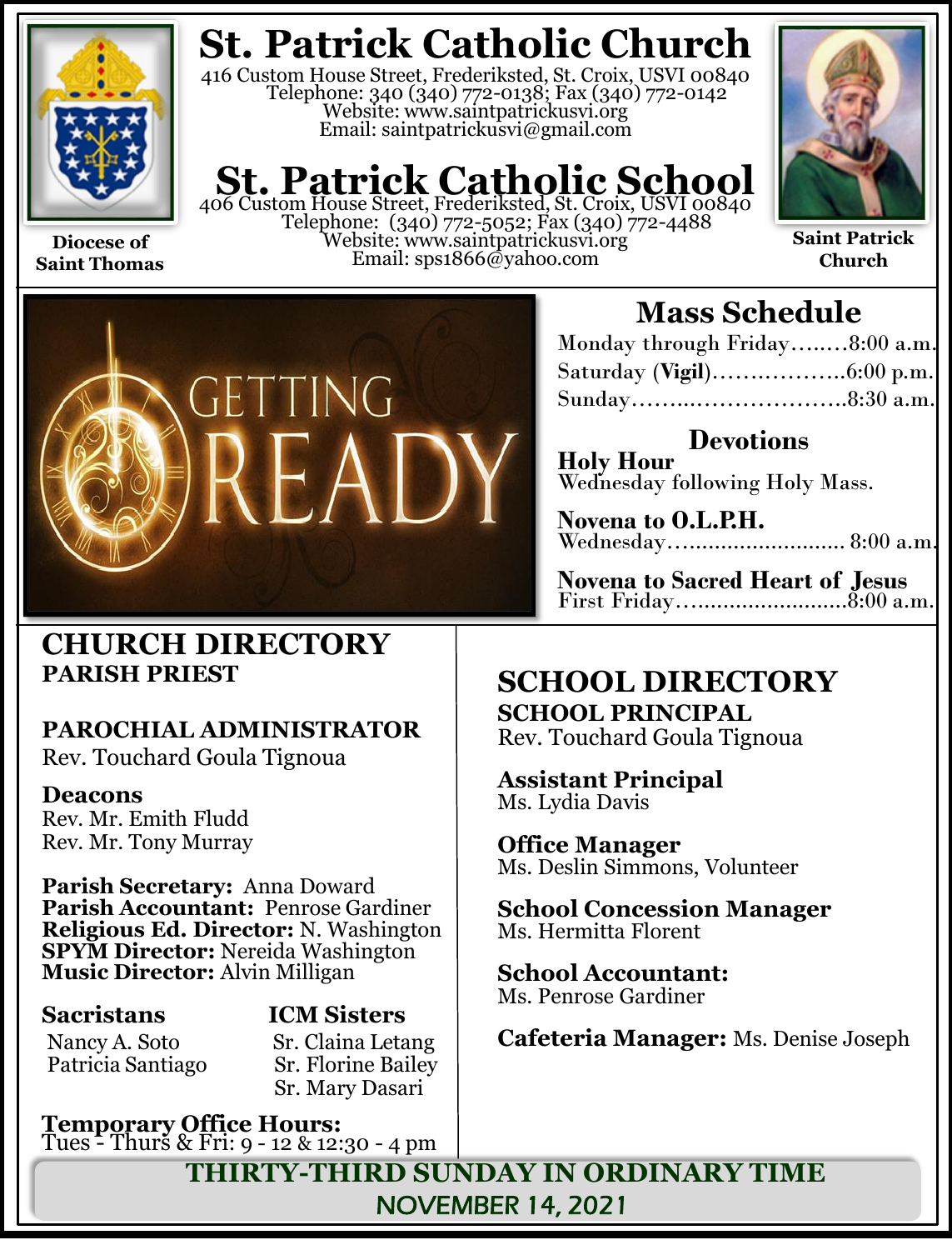

**Saint Thomas**

# **St. Patrick Catholic Church**

416 Custom House Street, Frederiksted, St. Croix, USVI 00840 Telephone: 340 (340) 772-0138; Fax (340) 772-0142 Website: www.saintpatrickusvi.org Email: saintpatrickusvi@gmail.com

# **St. Patrick Catholic School**<br>406 Custom House Street, Frederiksted, St. Croix, USVI 00840

Telephone: (340) 772-5052; Fax (340) 772-4488 Website: www.saintpatrickusvi.org Email: sps1866@yahoo.com



**Saint Patrick Church**



### **Mass Schedule**

| Monday through Friday8:00 a.m. |  |
|--------------------------------|--|
|                                |  |
| Sunday8:30 a.m.                |  |

**Devotions Holy Hour**  Wednesday following Holy Mass.

**Novena to O.L.P.H.** Wednesday…......................... 8:00 a.m.

**Novena to Sacred Heart of Jesus** First Friday…........................8:00 a.m.

### **CHURCH DIRECTORY PARISH PRIEST**

### **PAROCHIAL ADMINISTRATOR**

Rev. Touchard Goula Tignoua

### **Deacons**

Rev. Mr. Emith Fludd Rev. Mr. Tony Murray

**Parish Secretary:** Anna Doward **Parish Accountant:** Penrose Gardiner **Religious Ed. Director:** N. Washington **SPYM Director:** Nereida Washington **Music Director:** Alvin Milligan

Patricia Santiago

**Sacristans ICM Sisters** Nancy A. Soto Sr. Claina Letang<br>Patricia Santiago Sr. Florine Bailey Sr. Mary Dasari

**Temporary Office Hours:**  Tues - Thurs & Fri: 9 - 12 & 12:30 - 4 pm

## **SCHOOL DIRECTORY**

**SCHOOL PRINCIPAL** Rev. Touchard Goula Tignoua

**Assistant Principal** Ms. Lydia Davis

**Office Manager** Ms. Deslin Simmons, Volunteer

**School Concession Manager** Ms. Hermitta Florent

**School Accountant:**  Ms. Penrose Gardiner

**Cafeteria Manager:** Ms. Denise Joseph

**THIRTY-THIRD SUNDAY IN ORDINARY TIME** NOVEMBER 14, 2021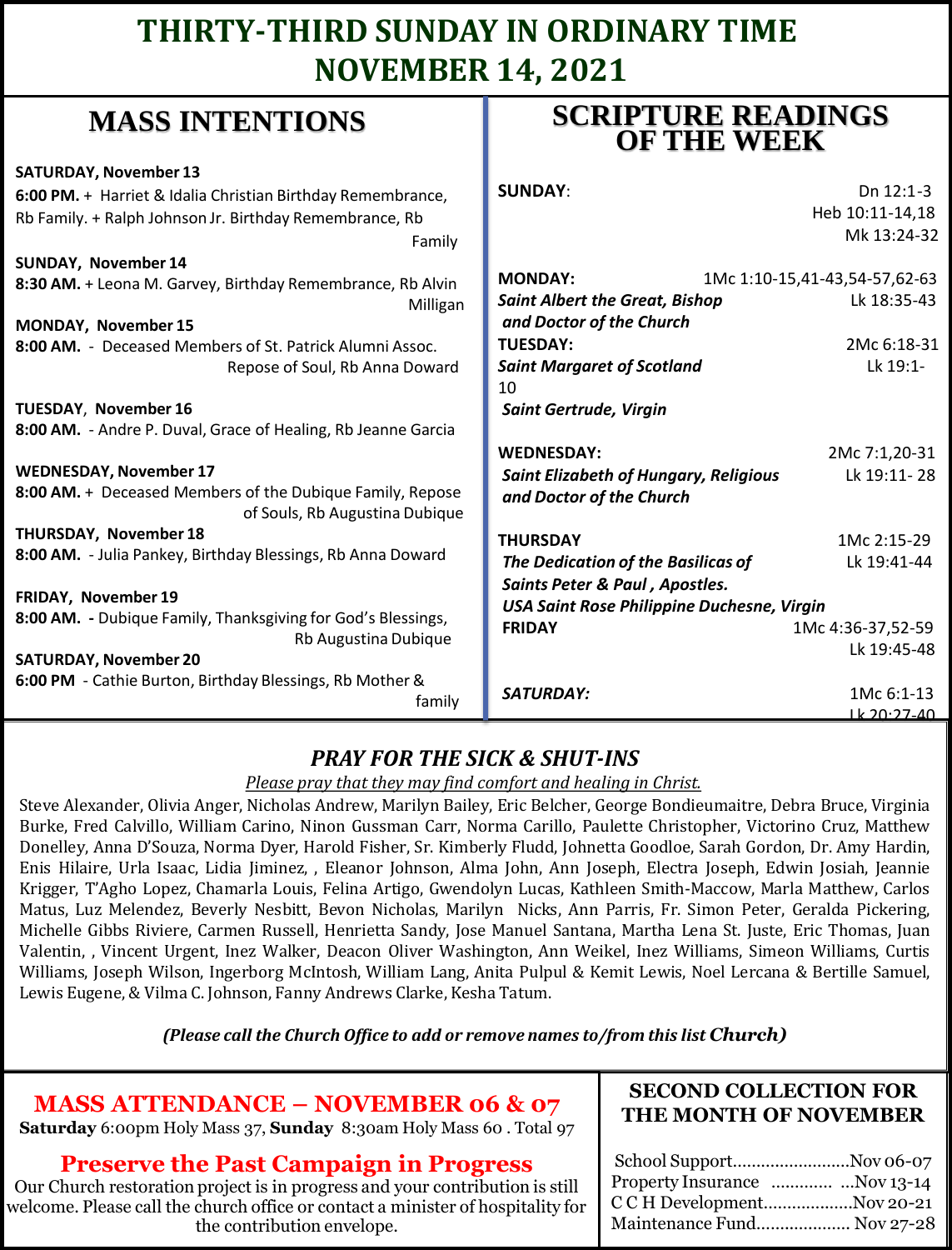### **THIRTY-THIRD SUNDAY IN ORDINARY TIME NOVEMBER 14, 2021**

### **MASS INTENTIONS**

| where higher and the                                                                        | <b>OF THE WEEK</b>                           |                               |
|---------------------------------------------------------------------------------------------|----------------------------------------------|-------------------------------|
| <b>SATURDAY, November 13</b>                                                                |                                              |                               |
| 6:00 PM. + Harriet & Idalia Christian Birthday Remembrance,                                 | <b>SUNDAY:</b>                               | Dn 12:1-3                     |
| Rb Family. + Ralph Johnson Jr. Birthday Remembrance, Rb                                     |                                              | Heb 10:11-14,18               |
| Family                                                                                      |                                              | Mk 13:24-32                   |
| SUNDAY, November 14                                                                         |                                              |                               |
| 8:30 AM. + Leona M. Garvey, Birthday Remembrance, Rb Alvin                                  | <b>MONDAY:</b>                               | 1Mc 1:10-15,41-43,54-57,62-63 |
| Milligan                                                                                    | <b>Saint Albert the Great, Bishop</b>        | Lk 18:35-43                   |
| MONDAY, November 15                                                                         | and Doctor of the Church                     |                               |
| 8:00 AM. - Deceased Members of St. Patrick Alumni Assoc.                                    | <b>TUESDAY:</b>                              | 2Mc 6:18-31                   |
| Repose of Soul, Rb Anna Doward                                                              | <b>Saint Margaret of Scotland</b>            | Lk 19:1-                      |
|                                                                                             | 10                                           |                               |
| TUESDAY, November 16                                                                        | <b>Saint Gertrude, Virgin</b>                |                               |
| 8:00 AM. - Andre P. Duval, Grace of Healing, Rb Jeanne Garcia                               |                                              |                               |
|                                                                                             | <b>WEDNESDAY:</b>                            | 2Mc 7:1,20-31                 |
| <b>WEDNESDAY, November 17</b>                                                               | <b>Saint Elizabeth of Hungary, Religious</b> | Lk 19:11-28                   |
| 8:00 AM. + Deceased Members of the Dubique Family, Repose<br>of Souls, Rb Augustina Dubique | and Doctor of the Church                     |                               |
| THURSDAY, November 18                                                                       | <b>THURSDAY</b>                              | 1Mc 2:15-29                   |
| 8:00 AM. - Julia Pankey, Birthday Blessings, Rb Anna Doward                                 | The Dedication of the Basilicas of           | Lk 19:41-44                   |
|                                                                                             | Saints Peter & Paul, Apostles.               |                               |
| FRIDAY, November 19                                                                         | USA Saint Rose Philippine Duchesne, Virgin   |                               |
| 8:00 AM. - Dubique Family, Thanksgiving for God's Blessings,                                | <b>FRIDAY</b>                                | 1Mc 4:36-37,52-59             |
| Rb Augustina Dubique                                                                        |                                              | Lk 19:45-48                   |
| <b>SATURDAY, November 20</b>                                                                |                                              |                               |
| 6:00 PM - Cathie Burton, Birthday Blessings, Rb Mother &                                    | <b>SATURDAY:</b>                             | 1Mc 6:1-13                    |
| family                                                                                      |                                              | <u>1k 20.27-40.</u>           |

### *PRAY FOR THE SICK & SHUT-INS*

### *Please pray that they may find comfort and healing in Christ.*

Steve Alexander, Olivia Anger, Nicholas Andrew, Marilyn Bailey, Eric Belcher, George Bondieumaitre, Debra Bruce, Virginia Burke, Fred Calvillo, William Carino, Ninon Gussman Carr, Norma Carillo, Paulette Christopher, Victorino Cruz, Matthew Donelley, Anna D'Souza, Norma Dyer, Harold Fisher, Sr. Kimberly Fludd, Johnetta Goodloe, Sarah Gordon, Dr. Amy Hardin, Enis Hilaire, Urla Isaac, Lidia Jiminez, , Eleanor Johnson, Alma John, Ann Joseph, Electra Joseph, Edwin Josiah, Jeannie Krigger, T'Agho Lopez, Chamarla Louis, Felina Artigo, Gwendolyn Lucas, Kathleen Smith-Maccow, Marla Matthew, Carlos Matus, Luz Melendez, Beverly Nesbitt, Bevon Nicholas, Marilyn Nicks, Ann Parris, Fr. Simon Peter, Geralda Pickering, Michelle Gibbs Riviere, Carmen Russell, Henrietta Sandy, Jose Manuel Santana, Martha Lena St. Juste, Eric Thomas, Juan Valentin, , Vincent Urgent, Inez Walker, Deacon Oliver Washington, Ann Weikel, Inez Williams, Simeon Williams, Curtis Williams, Joseph Wilson, Ingerborg McIntosh, William Lang, Anita Pulpul & Kemit Lewis, Noel Lercana & Bertille Samuel, Lewis Eugene, & Vilma C. Johnson, Fanny Andrews Clarke, Kesha Tatum.

*(Please call the Church Office to add or remove names to/from this list Church)*

### **MASS ATTENDANCE – NOVEMBER 06 & 07**

**Saturday** 6:00pm Holy Mass 37, **Sunday** 8:30am Holy Mass 60 . Total 97

### **Preserve the Past Campaign in Progress**

Our Church restoration project is in progress and your contribution is still welcome. Please call the church office or contact a minister of hospitality for the contribution envelope.

### **SECOND COLLECTION FOR THE MONTH OF NOVEMBER**

**SCRIPTURE READINGS** 

| School SupportNov 06-07      |
|------------------------------|
| Property Insurance Nov 13-14 |
| C C H DevelopmentNov 20-21   |
| Maintenance Fund Nov 27-28   |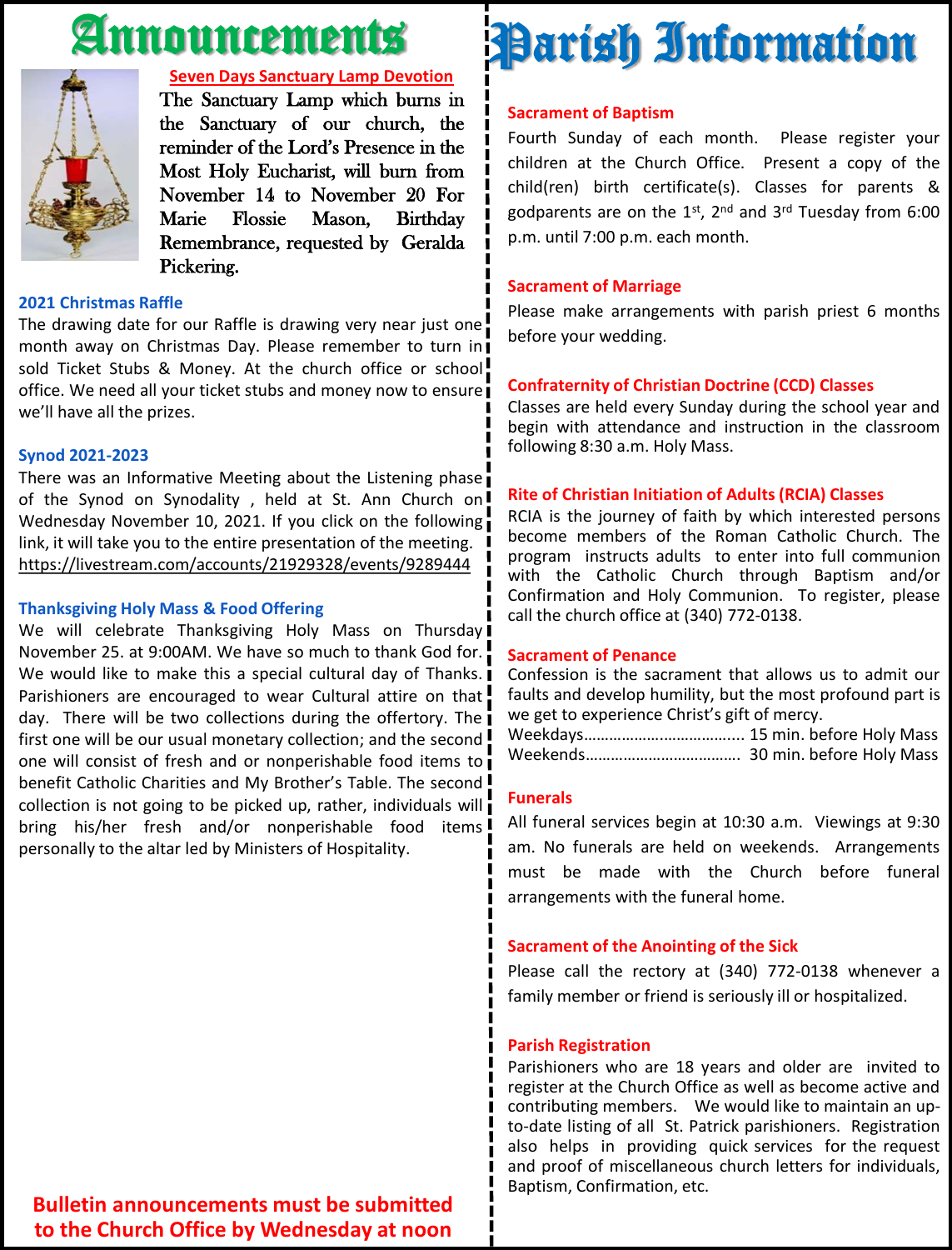# Announcements



#### **Seven Days Sanctuary Lamp Devotion**

The Sanctuary Lamp which burns in the Sanctuary of our church, the reminder of the Lord's Presence in the Most Holy Eucharist, will burn from November 14 to November 20 For Marie Flossie Mason, Birthday Remembrance, requested by Geralda Pickering.

#### **2021 Christmas Raffle**

The drawing date for our Raffle is drawing very near just one month away on Christmas Day. Please remember to turn in sold Ticket Stubs & Money. At the church office or school office. We need all your ticket stubs and money now to ensure we'll have all the prizes.

#### **Synod 2021-2023**

There was an Informative Meeting about the Listening phase of the Synod on Synodality, held at St. Ann Church on! Wednesday November 10, 2021. If you click on the following link, it will take you to the entire presentation of the meeting. https://livestream.com/accounts/21929328/events/9289444

#### **Thanksgiving Holy Mass & Food Offering**

We will celebrate Thanksgiving Holy Mass on Thursday November 25. at 9:00AM. We have so much to thank God for. We would like to make this a special cultural day of Thanks. Parishioners are encouraged to wear Cultural attire on that! day. There will be two collections during the offertory. The first one will be our usual monetary collection; and the second one will consist of fresh and or nonperishable food items to benefit Catholic Charities and My Brother's Table. The second ! collection is not going to be picked up, rather, individuals will bring his/her fresh and/or nonperishable food items! personally to the altar led by Ministers of Hospitality.

# **Sacrament of Baptism** Parish Information

Fourth Sunday of each month. Please register your children at the Church Office. Present a copy of the child(ren) birth certificate(s). Classes for parents & godparents are on the 1st, 2<sup>nd</sup> and 3<sup>rd</sup> Tuesday from 6:00 p.m. until 7:00 p.m. each month.

### **Sacrament of Marriage**

Please make arrangements with parish priest 6 months before your wedding.

### **Confraternity of Christian Doctrine (CCD) Classes**

Classes are held every Sunday during the school year and begin with attendance and instruction in the classroom following 8:30 a.m. Holy Mass.

### **Rite of Christian Initiation of Adults (RCIA) Classes**

RCIA is the journey of faith by which interested persons become members of the Roman Catholic Church. The program instructs adults to enter into full communion with the Catholic Church through Baptism and/or Confirmation and Holy Communion. To register, please call the church office at (340) 772-0138.

### **Sacrament of Penance**

Confession is the sacrament that allows us to admit our faults and develop humility, but the most profound part is we get to experience Christ's gift of mercy.

Weekdays……………….…………….... 15 min. before Holy Mass Weekends………………………………. 30 min. before Holy Mass

### **Funerals**

All funeral services begin at 10:30 a.m. Viewings at 9:30 am. No funerals are held on weekends. Arrangements must be made with the Church before funeral arrangements with the funeral home.

### **Sacrament of the Anointing of the Sick**

Please call the rectory at (340) 772-0138 whenever a family member or friend is seriously ill or hospitalized.

#### **Parish Registration**

Parishioners who are 18 years and older are invited to register at the Church Office as well as become active and contributing members. We would like to maintain an upto-date listing of all St. Patrick parishioners. Registration also helps in providing quick services for the request and proof of miscellaneous church letters for individuals, Baptism, Confirmation, etc.

### **Bulletin announcements must be submitted to the Church Office by Wednesday at noon**